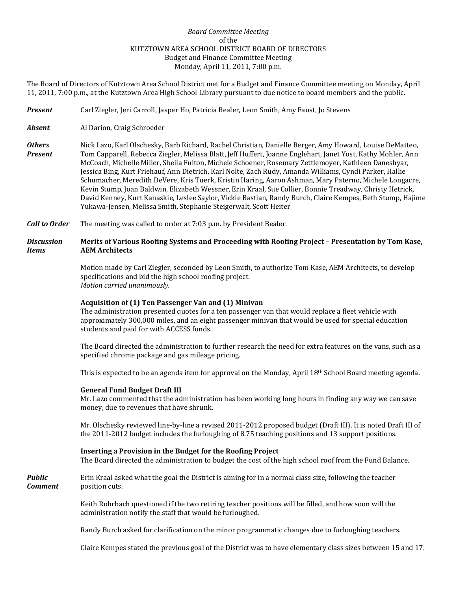# *Board Committee Meeting* of the KUTZTOWN AREA SCHOOL DISTRICT BOARD OF DIRECTORS Budget and Finance Committee Meeting Monday, April 11, 2011, 7:00 p.m.

The Board of Directors of Kutztown Area School District met for a Budget and Finance Committee meeting on Monday, April 11, 2011, 7:00 p.m., at the Kutztown Area High School Library pursuant to due notice to board members and the public.

- *Present* Carl Ziegler, Jeri Carroll, Jasper Ho, Patricia Bealer, Leon Smith, Amy Faust, Jo Stevens
- *Absent* Al Darion, Craig Schroeder
- *Others* Nick Lazo, Karl Olschesky, Barb Richard, Rachel Christian, Danielle Berger, Amy Howard, Louise DeMatteo, *Present* Tom Capparell, Rebecca Ziegler, Melissa Blatt, Jeff Huffert, Joanne Englehart, Janet Yost, Kathy Mohler, Ann McCoach, Michelle Miller, Sheila Fulton, Michele Schoener, Rosemary Zettlemoyer, Kathleen Daneshyar, Jessica Bing, Kurt Friehauf, Ann Dietrich, Karl Nolte, Zach Rudy, Amanda Williams, Cyndi Parker, Hallie Schumacher, Meredith DeVere, Kris Tuerk, Kristin Haring, Aaron Ashman, Mary Paterno, Michele Longacre, Kevin Stump, Joan Baldwin, Elizabeth Wessner, Erin Kraal, Sue Collier, Bonnie Treadway, Christy Hetrick, David Kenney, Kurt Kanaskie, Leslee Saylor, Vickie Bastian, Randy Burch, Claire Kempes, Beth Stump, Hajime Yukawa-Jensen, Melissa Smith, Stephanie Steigerwalt, Scott Heiter
- *Call to Order* The meeting was called to order at 7:03 p.m. by President Bealer.

## *Discussion* **Merits of Various Roofing Systems and Proceeding with Roofing Project – Presentation by Tom Kase,**  *Items* **AEM Architects**

Motion made by Carl Ziegler, seconded by Leon Smith, to authorize Tom Kase, AEM Architects, to develop specifications and bid the high school roofing project. *Motion carried unanimously.*

#### **Acquisition of (1) Ten Passenger Van and (1) Minivan**

The administration presented quotes for a ten passenger van that would replace a fleet vehicle with approximately 300,000 miles, and an eight passenger minivan that would be used for special education students and paid for with ACCESS funds.

The Board directed the administration to further research the need for extra features on the vans, such as a specified chrome package and gas mileage pricing.

This is expected to be an agenda item for approval on the Monday, April 18th School Board meeting agenda.

#### **General Fund Budget Draft III**

Mr. Lazo commented that the administration has been working long hours in finding any way we can save money, due to revenues that have shrunk.

Mr. Olschesky reviewed line-by-line a revised 2011-2012 proposed budget (Draft III). It is noted Draft III of the 2011-2012 budget includes the furloughing of 8.75 teaching positions and 13 support positions.

### **Inserting a Provision in the Budget for the Roofing Project**

The Board directed the administration to budget the cost of the high school roof from the Fund Balance.

**Public Erin Kraal asked what the goal the District is aiming for in a normal class size, following the teacher Comment** position cuts.

> Keith Rohrbach questioned if the two retiring teacher positions will be filled, and how soon will the administration notify the staff that would be furloughed.

Randy Burch asked for clarification on the minor programmatic changes due to furloughing teachers.

Claire Kempes stated the previous goal of the District was to have elementary class sizes between 15 and 17.